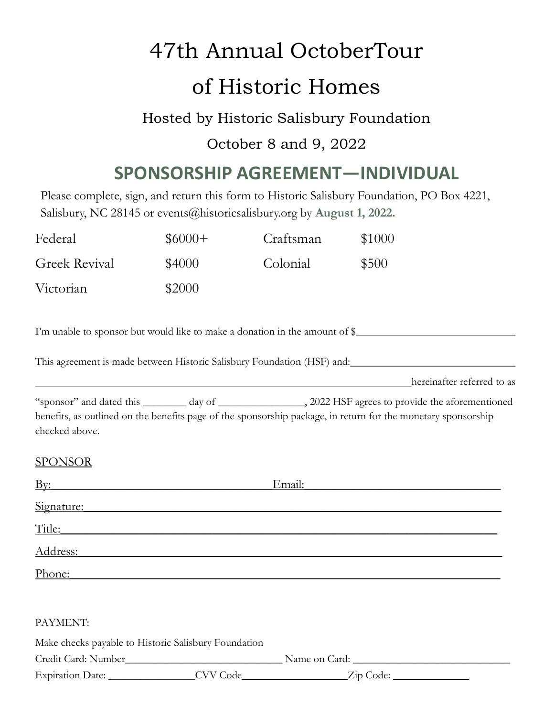# 47th Annual OctoberTour of Historic Homes

### Hosted by Historic Salisbury Foundation

#### October 8 and 9, 2022

### **SPONSORSHIP AGREEMENT—INDIVIDUAL**

Please complete, sign, and return this form to Historic Salisbury Foundation, PO Box 4221, Salisbury, NC 28145 or events@historicsalisbury.org by **August 1, 2022.**

| Federal                                              | $$6000+$ | Craftsman                                                                                                              | \$1000                                                                                                                                                                                                                         |
|------------------------------------------------------|----------|------------------------------------------------------------------------------------------------------------------------|--------------------------------------------------------------------------------------------------------------------------------------------------------------------------------------------------------------------------------|
| <b>Greek Revival</b>                                 | \$4000   | Colonial                                                                                                               | \$500                                                                                                                                                                                                                          |
| Victorian                                            | \$2000   |                                                                                                                        |                                                                                                                                                                                                                                |
|                                                      |          |                                                                                                                        | I'm unable to sponsor but would like to make a donation in the amount of \$                                                                                                                                                    |
|                                                      |          |                                                                                                                        |                                                                                                                                                                                                                                |
|                                                      |          | <u> 1989 - Johann Stoff, deutscher Stoffen und der Stoffen und der Stoffen und der Stoffen und der Stoffen und der</u> | hereinafter referred to as                                                                                                                                                                                                     |
| checked above.                                       |          |                                                                                                                        | benefits, as outlined on the benefits page of the sponsorship package, in return for the monetary sponsorship                                                                                                                  |
| <b>SPONSOR</b>                                       |          |                                                                                                                        |                                                                                                                                                                                                                                |
| $\overline{\text{By:}}$                              |          |                                                                                                                        | Email: Email: Email: Email: Email: Email: Email: Email: Email: Email: Email: Email: Email: Email: Email: Email: Email: Email: Email: Email: Email: Email: Email: Email: Email: Email: Email: Email: Email: Email: Email: Email |
|                                                      |          |                                                                                                                        | Signature: Signature:                                                                                                                                                                                                          |
|                                                      |          |                                                                                                                        | Title: Title: Title: Title: Title: Title: Title: Title: Title: Title: Title: Title: Title: Title: Title: Title: Title: Title: Title: Title: Title: Title: Title: Title: Title: Title: Title: Title: Title: Title: Title: Title |
|                                                      |          |                                                                                                                        | Address: Address:                                                                                                                                                                                                              |
|                                                      |          |                                                                                                                        | Phone: experience and the second state of the second state and state and state and state and state and state and state and state and state and state and state and state and state and state and state and state and state and |
|                                                      |          |                                                                                                                        |                                                                                                                                                                                                                                |
| PAYMENT:                                             |          |                                                                                                                        |                                                                                                                                                                                                                                |
| Make checks payable to Historic Salisbury Foundation |          |                                                                                                                        |                                                                                                                                                                                                                                |
|                                                      |          |                                                                                                                        |                                                                                                                                                                                                                                |
|                                                      |          |                                                                                                                        | Expiration Date: __________________CVV Code______________________Zip Code: _________________________                                                                                                                           |